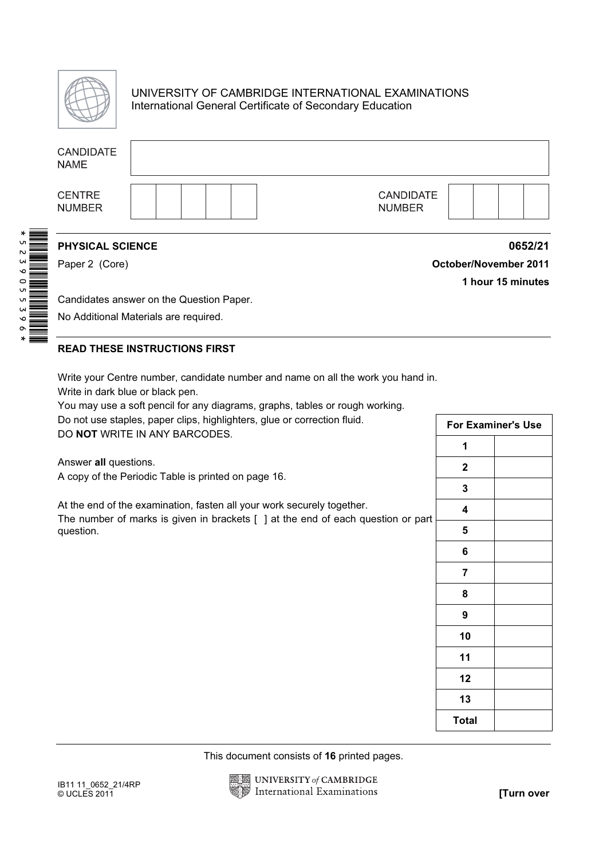

## UNIVERSITY OF CAMBRIDGE INTERNATIONAL EXAMINATIONS International General Certificate of Secondary Education

| <b>CANDIDATE</b><br><b>NAME</b>                                                                                                                                                                      |  |  |  |                                             |                                   |                              |                           |            |
|------------------------------------------------------------------------------------------------------------------------------------------------------------------------------------------------------|--|--|--|---------------------------------------------|-----------------------------------|------------------------------|---------------------------|------------|
| <b>CENTRE</b><br><b>NUMBER</b>                                                                                                                                                                       |  |  |  |                                             | <b>CANDIDATE</b><br><b>NUMBER</b> |                              |                           |            |
| <b>PHYSICAL SCIENCE</b>                                                                                                                                                                              |  |  |  |                                             |                                   |                              |                           | 0652/21    |
| Paper 2 (Core)                                                                                                                                                                                       |  |  |  |                                             |                                   | <b>October/November 2011</b> | 1 hour 15 minutes         |            |
| Candidates answer on the Question Paper.                                                                                                                                                             |  |  |  |                                             |                                   |                              |                           |            |
| No Additional Materials are required.                                                                                                                                                                |  |  |  |                                             |                                   |                              |                           |            |
|                                                                                                                                                                                                      |  |  |  |                                             |                                   |                              |                           |            |
| <b>READ THESE INSTRUCTIONS FIRST</b>                                                                                                                                                                 |  |  |  |                                             |                                   |                              |                           |            |
| Write your Centre number, candidate number and name on all the work you hand in.<br>Write in dark blue or black pen.<br>You may use a soft pencil for any diagrams, graphs, tables or rough working. |  |  |  |                                             |                                   |                              |                           |            |
| Do not use staples, paper clips, highlighters, glue or correction fluid.                                                                                                                             |  |  |  |                                             |                                   |                              | <b>For Examiner's Use</b> |            |
| DO NOT WRITE IN ANY BARCODES.                                                                                                                                                                        |  |  |  |                                             |                                   | 1                            |                           |            |
| Answer all questions.                                                                                                                                                                                |  |  |  |                                             |                                   | $\mathbf{2}$                 |                           |            |
| A copy of the Periodic Table is printed on page 16.                                                                                                                                                  |  |  |  |                                             |                                   | $\mathbf{3}$                 |                           |            |
| At the end of the examination, fasten all your work securely together.                                                                                                                               |  |  |  |                                             |                                   | 4                            |                           |            |
| The number of marks is given in brackets [ ] at the end of each question or part                                                                                                                     |  |  |  |                                             |                                   | 5                            |                           |            |
| question.                                                                                                                                                                                            |  |  |  |                                             |                                   | 6                            |                           |            |
|                                                                                                                                                                                                      |  |  |  |                                             |                                   | 7                            |                           |            |
|                                                                                                                                                                                                      |  |  |  |                                             |                                   |                              |                           |            |
|                                                                                                                                                                                                      |  |  |  |                                             |                                   | 8                            |                           |            |
|                                                                                                                                                                                                      |  |  |  |                                             |                                   | $\boldsymbol{9}$             |                           |            |
|                                                                                                                                                                                                      |  |  |  |                                             |                                   | 10                           |                           |            |
|                                                                                                                                                                                                      |  |  |  |                                             |                                   | 11                           |                           |            |
|                                                                                                                                                                                                      |  |  |  |                                             |                                   | 12                           |                           |            |
|                                                                                                                                                                                                      |  |  |  |                                             |                                   | 13                           |                           |            |
|                                                                                                                                                                                                      |  |  |  |                                             |                                   | <b>Total</b>                 |                           |            |
|                                                                                                                                                                                                      |  |  |  | This document consists of 16 printed pages. |                                   |                              |                           |            |
|                                                                                                                                                                                                      |  |  |  | UNIVERSITY of CAMBRIDGE                     |                                   |                              |                           |            |
| IB11 11_0652_21/4RP<br>© UCLES 2011                                                                                                                                                                  |  |  |  | <b>International Examinations</b>           |                                   |                              |                           | [Turn over |

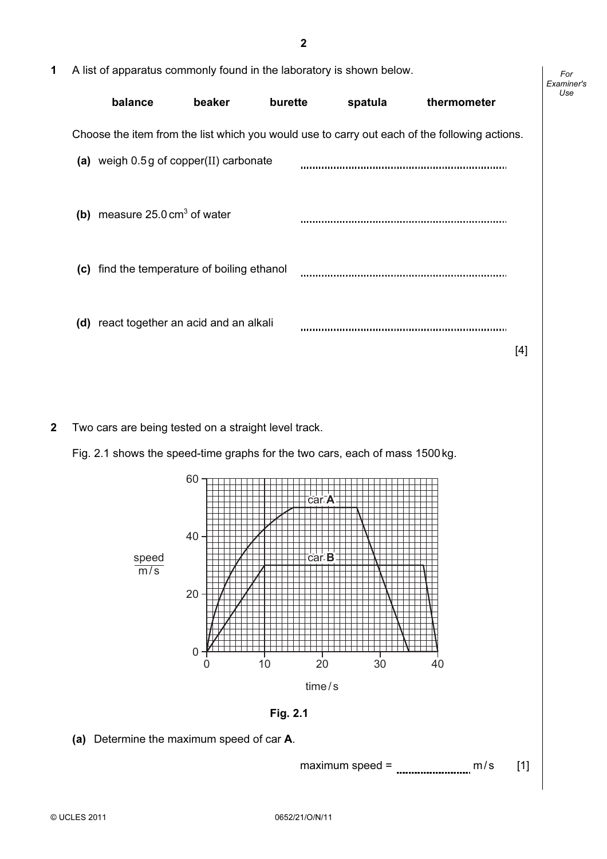For Examiner's Use

| 1 A list of apparatus commonly found in the laboratory is shown below. |        |         |         |                                                                                               |  |
|------------------------------------------------------------------------|--------|---------|---------|-----------------------------------------------------------------------------------------------|--|
| balance                                                                | beaker | burette | spatula | thermometer                                                                                   |  |
|                                                                        |        |         |         | Choose the item from the list which you would use to carry out each of the following actions. |  |

|     | (a) weigh 0.5g of copper(II) carbonate      |      |
|-----|---------------------------------------------|------|
| (b) | measure $25.0 \text{ cm}^3$ of water        |      |
|     | (c) find the temperature of boiling ethanol |      |
|     | (d) react together an acid and an alkali    | 14 I |
|     |                                             |      |

2 Two cars are being tested on a straight level track.

Fig. 2.1 shows the speed-time graphs for the two cars, each of mass 1500kg.



Fig. 2.1

(a) Determine the maximum speed of car A.

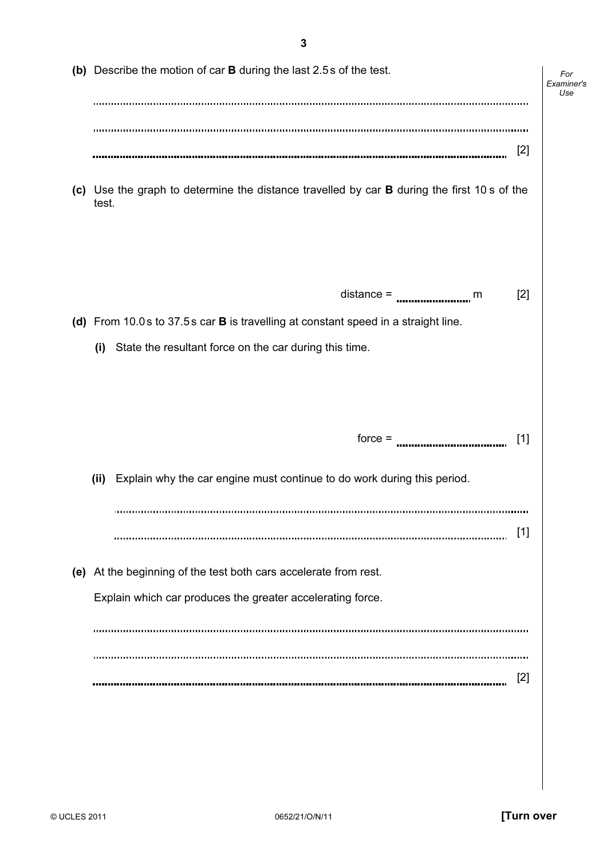(b) Describe the motion of car B during the last 2.5s of the test. For Examiner's  $1$ se [2] (c) Use the graph to determine the distance travelled by car B during the first 10 s of the test. distance =  $\frac{1}{2}$  (d) From 10.0s to 37.5s car B is travelling at constant speed in a straight line. (i) State the resultant force on the car during this time.  $force =$  [1] (ii) Explain why the car engine must continue to do work during this period. [1] (e) At the beginning of the test both cars accelerate from rest. Explain which car produces the greater accelerating force. [2]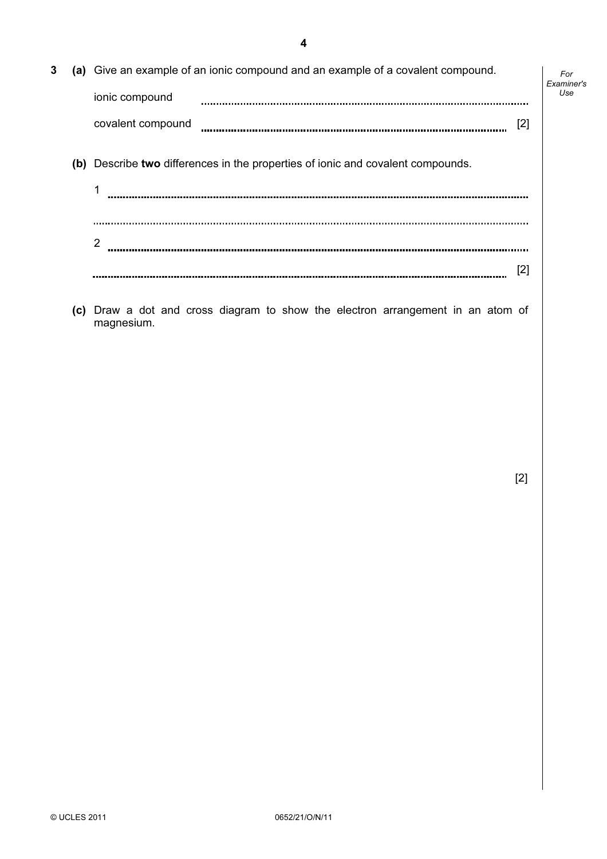| 3 | (a) Give an example of an ionic compound and an example of a covalent compound. | For<br>Examiner's |
|---|---------------------------------------------------------------------------------|-------------------|
|   | ionic compound                                                                  | Use               |
|   | [2]<br>covalent compound                                                        |                   |
|   | (b) Describe two differences in the properties of ionic and covalent compounds. |                   |
|   |                                                                                 |                   |
|   |                                                                                 |                   |
|   | 2                                                                               |                   |
|   | [2]                                                                             |                   |

 (c) Draw a dot and cross diagram to show the electron arrangement in an atom of magnesium.

[2]

4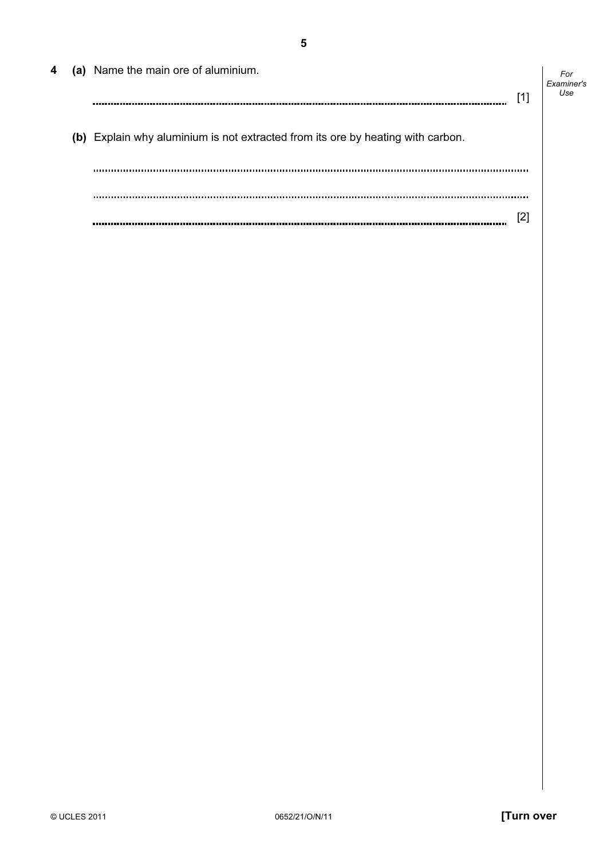| 4 | (a) Name the main ore of aluminium.                                             | [1] | For<br>Examiner's<br>Use |
|---|---------------------------------------------------------------------------------|-----|--------------------------|
|   | (b) Explain why aluminium is not extracted from its ore by heating with carbon. |     |                          |
|   |                                                                                 | [2] |                          |

5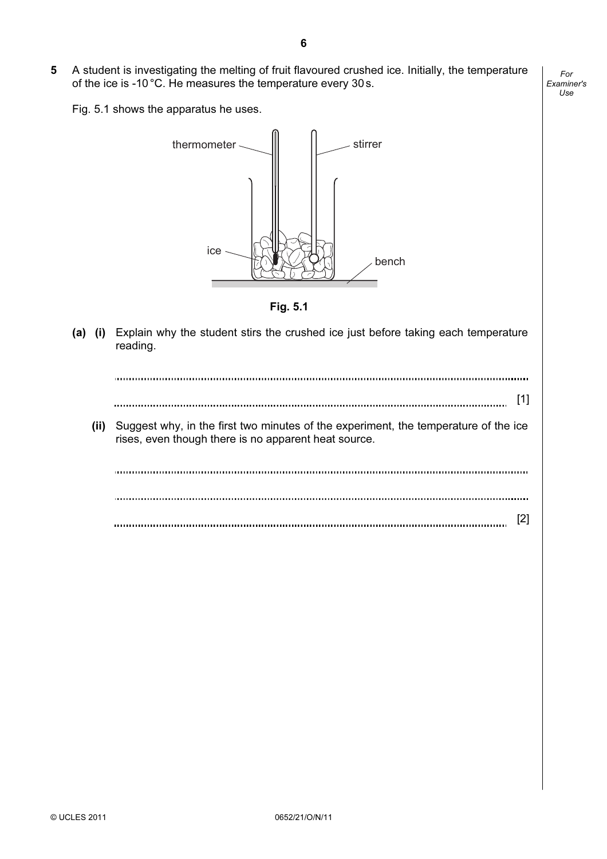5 A student is investigating the melting of fruit flavoured crushed ice. Initially, the temperature of the ice is -10 °C. He measures the temperature every 30s.

Fig. 5.1 shows the apparatus he uses.



Fig. 5.1

(a) (i) Explain why the student stirs the crushed ice just before taking each temperature reading.

[1] (ii) Suggest why, in the first two minutes of the experiment, the temperature of the ice rises, even though there is no apparent heat source. [2]

For Examiner's Use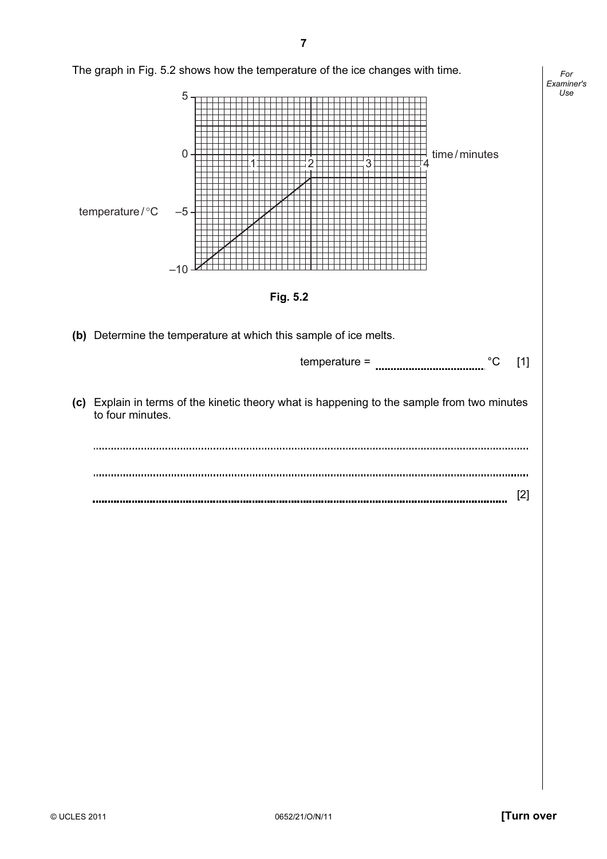

7

For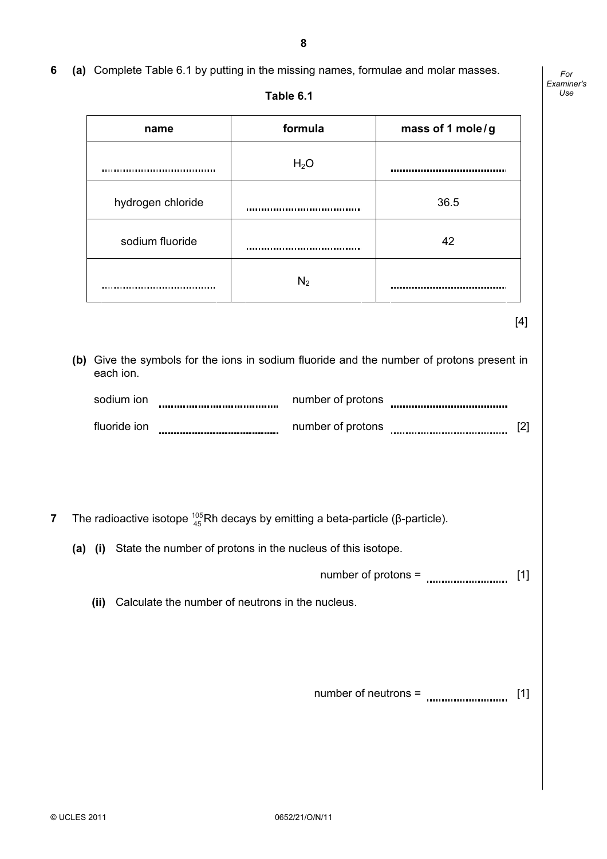## 6 (a) Complete Table 6.1 by putting in the missing names, formulae and molar masses.

For Examiner's  $1$ se

| name                                  | formula                           | mass of 1 mole/g                    |
|---------------------------------------|-----------------------------------|-------------------------------------|
|                                       | H <sub>2</sub> O                  | ----------------------------------- |
| hydrogen chloride                     | ,,,,,,,,,,,,,,,,,,,,,,,,,,,,,,,,, | 36.5                                |
| sodium fluoride                       |                                   | 42                                  |
| ,,,,,,,,,,,,,,,,,,,,,,,,,,,,,,,,,,,,, | $N_2$                             |                                     |

 (b) Give the symbols for the ions in sodium fluoride and the number of protons present in each ion.

| sodium ion   | number of protons |  |
|--------------|-------------------|--|
| fluoride ion | number of protons |  |

**7** The radioactive isotope  $^{105}_{45}$ Rh decays by emitting a beta-particle (β-particle).

(a) (i) State the number of protons in the nucleus of this isotope.

number of protons = [1]

(ii) Calculate the number of neutrons in the nucleus.

number of neutrons = [1]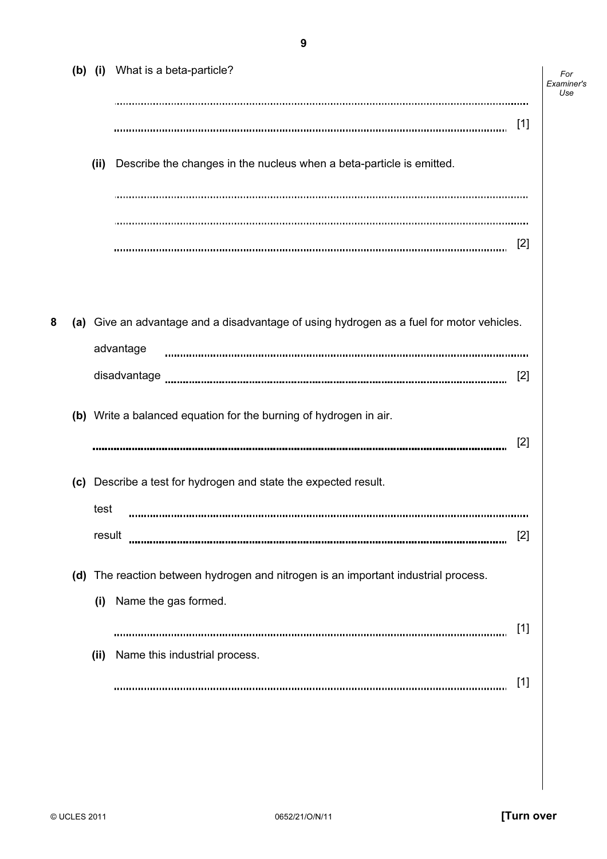|   |        | (b) (i) What is a beta-particle?                                                         | For<br>Examiner's<br>Use |
|---|--------|------------------------------------------------------------------------------------------|--------------------------|
|   |        |                                                                                          | $[1]$                    |
|   | (ii)   | Describe the changes in the nucleus when a beta-particle is emitted.                     |                          |
|   |        |                                                                                          |                          |
|   |        |                                                                                          |                          |
|   |        |                                                                                          | $[2]$                    |
|   |        |                                                                                          |                          |
| 8 |        | (a) Give an advantage and a disadvantage of using hydrogen as a fuel for motor vehicles. |                          |
|   |        | advantage                                                                                |                          |
|   |        | disadvantage                                                                             | $[2]$                    |
|   |        | (b) Write a balanced equation for the burning of hydrogen in air.                        | $[2]$                    |
|   |        |                                                                                          |                          |
|   |        | (c) Describe a test for hydrogen and state the expected result.                          |                          |
|   | test   |                                                                                          |                          |
|   | result |                                                                                          | [2]                      |
|   |        | (d) The reaction between hydrogen and nitrogen is an important industrial process.       |                          |
|   | (i)    | Name the gas formed.                                                                     |                          |
|   |        |                                                                                          | $[1]$                    |
|   | (ii)   | Name this industrial process.                                                            |                          |
|   |        |                                                                                          | $[1]$                    |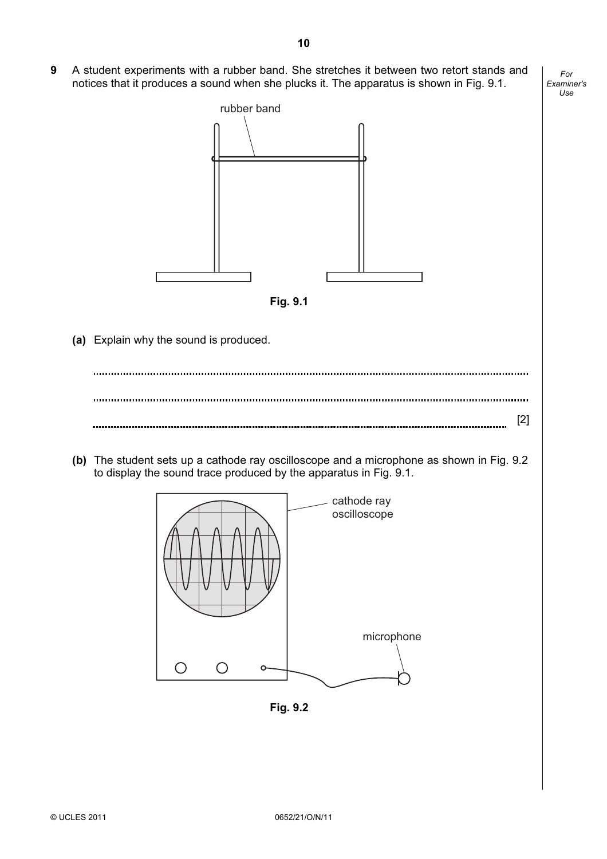9 A student experiments with a rubber band. She stretches it between two retort stands and notices that it produces a sound when she plucks it. The apparatus is shown in Fig. 9.1.





Fig. 9.2

For Examiner's Use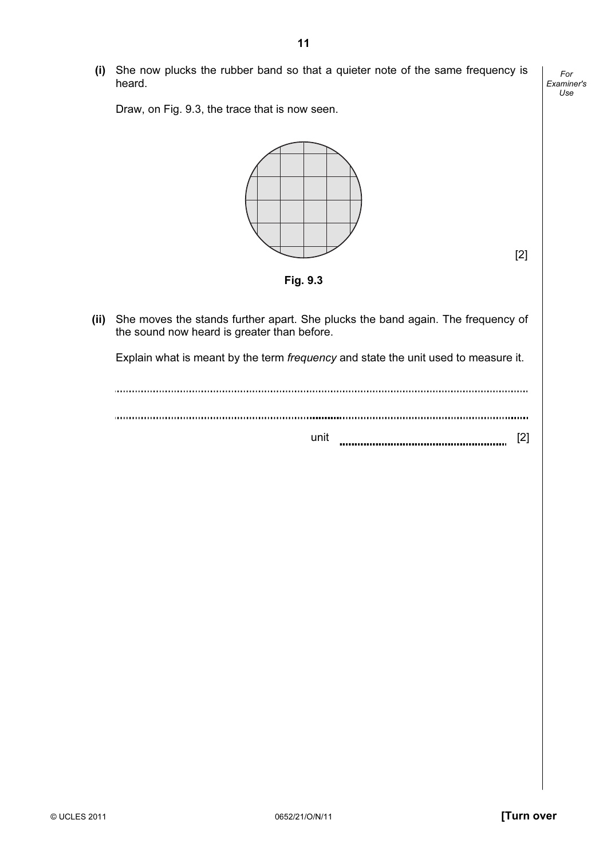(i) She now plucks the rubber band so that a quieter note of the same frequency is heard.

Draw, on Fig. 9.3, the trace that is now seen.



For Examiner's Use

Fig. 9.3

 (ii) She moves the stands further apart. She plucks the band again. The frequency of the sound now heard is greater than before.

Explain what is meant by the term frequency and state the unit used to measure it.

| ıni |  |
|-----|--|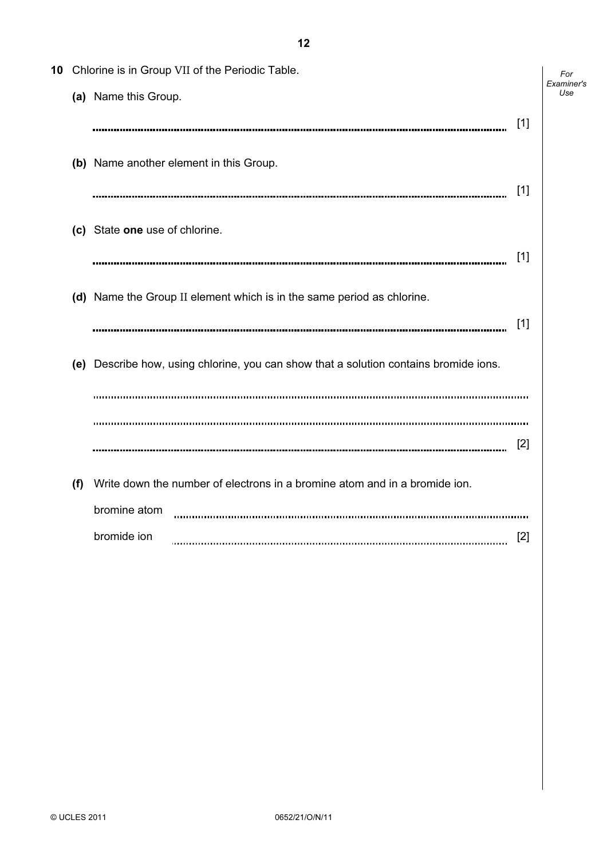| 10 |     | Chlorine is in Group VII of the Periodic Table.                                       |
|----|-----|---------------------------------------------------------------------------------------|
|    |     | (a) Name this Group.                                                                  |
|    |     | $[1]$                                                                                 |
|    |     | (b) Name another element in this Group.<br>[1]                                        |
|    |     |                                                                                       |
|    |     | (c) State one use of chlorine.                                                        |
|    |     | [1]                                                                                   |
|    |     | (d) Name the Group II element which is in the same period as chlorine.                |
|    |     | [1]                                                                                   |
|    |     | (e) Describe how, using chlorine, you can show that a solution contains bromide ions. |
|    |     |                                                                                       |
|    |     |                                                                                       |
|    |     | $\lceil 2 \rceil$                                                                     |
|    | (f) | Write down the number of electrons in a bromine atom and in a bromide ion.            |
|    |     | bromine atom                                                                          |
|    |     | bromide ion<br> 2                                                                     |

For Examiner's Use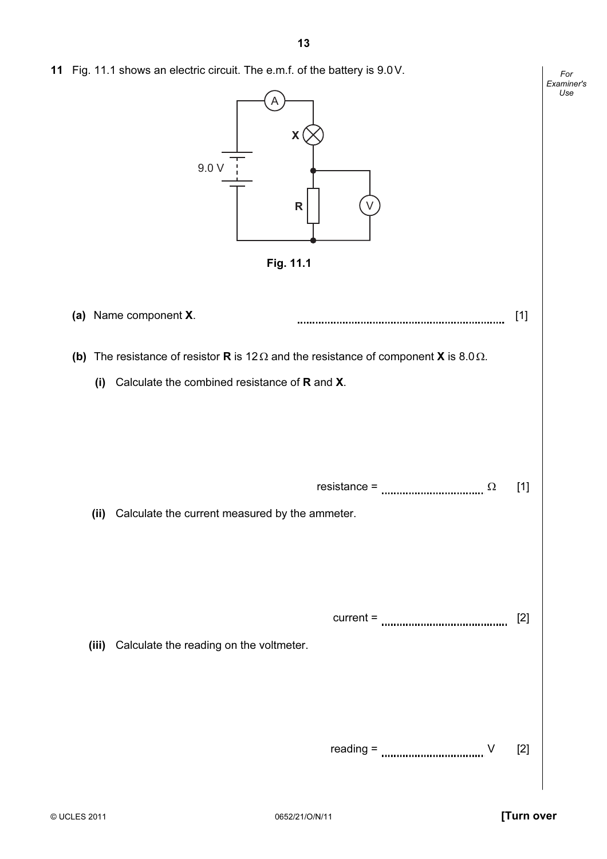11 Fig. 11.1 shows an electric circuit. The e.m.f. of the battery is 9.0V.

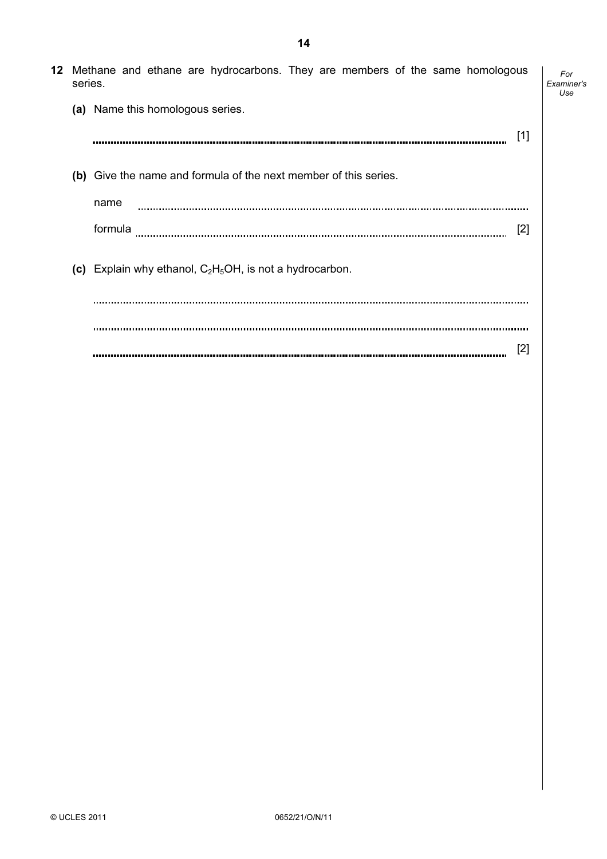| series. | 12 Methane and ethane are hydrocarbons. They are members of the same homologous | For<br>Examiner's<br>Use |
|---------|---------------------------------------------------------------------------------|--------------------------|
|         | (a) Name this homologous series.                                                |                          |
|         | $[1]$                                                                           |                          |
|         | (b) Give the name and formula of the next member of this series.                |                          |
|         | name                                                                            |                          |
|         | formula<br>[2]                                                                  |                          |
|         | (c) Explain why ethanol, $C_2H_5OH$ , is not a hydrocarbon.                     |                          |
|         |                                                                                 |                          |
|         | [2]                                                                             |                          |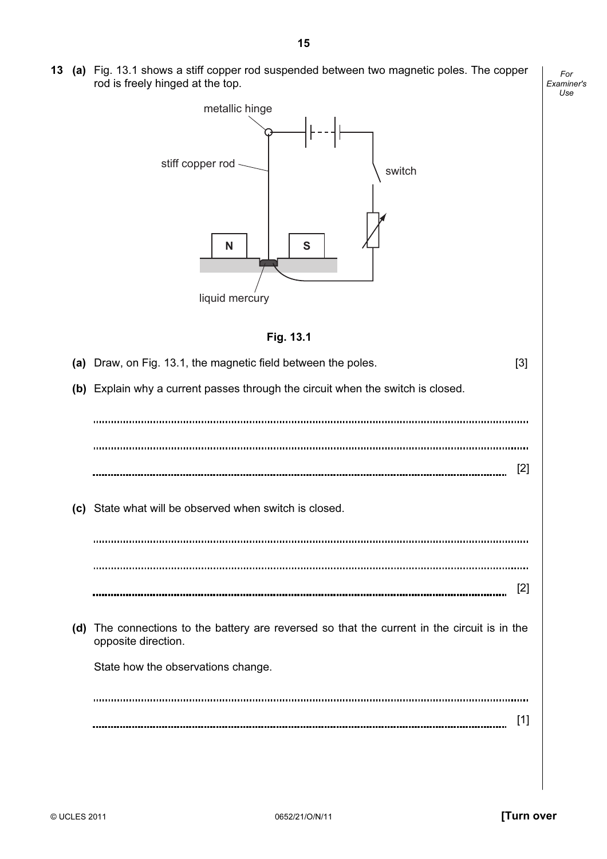13 (a) Fig. 13.1 shows a stiff copper rod suspended between two magnetic poles. The copper rod is freely hinged at the top.

For Examiner's Use



## Fig. 13.1

| (a) Draw, on Fig. 13.1, the magnetic field between the poles.                                                       | [3]               |
|---------------------------------------------------------------------------------------------------------------------|-------------------|
| (b) Explain why a current passes through the circuit when the switch is closed.                                     |                   |
|                                                                                                                     |                   |
|                                                                                                                     |                   |
|                                                                                                                     | [2]               |
| (c) State what will be observed when switch is closed.                                                              |                   |
|                                                                                                                     |                   |
|                                                                                                                     |                   |
|                                                                                                                     | $\lceil 2 \rceil$ |
|                                                                                                                     |                   |
| (d) The connections to the battery are reversed so that the current in the circuit is in the<br>opposite direction. |                   |
| State how the observations change.                                                                                  |                   |
|                                                                                                                     |                   |
|                                                                                                                     |                   |
|                                                                                                                     | [1]               |
|                                                                                                                     |                   |